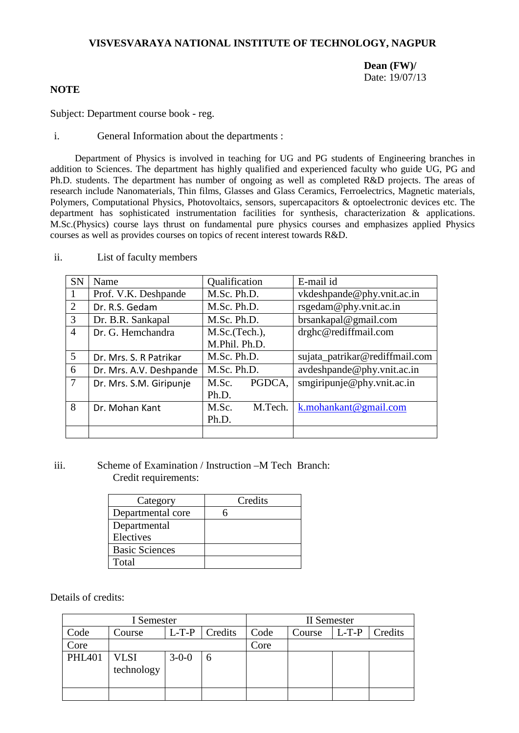# **VISVESVARAYA NATIONAL INSTITUTE OF TECHNOLOGY, NAGPUR**

**Dean (FW)/** Date: 19/07/13

# **NOTE**

Subject: Department course book - reg.

i. General Information about the departments :

Department of Physics is involved in teaching for UG and PG students of Engineering branches in addition to Sciences. The department has highly qualified and experienced faculty who guide UG, PG and Ph.D. students. The department has number of ongoing as well as completed R&D projects. The areas of research include Nanomaterials, Thin films, Glasses and Glass Ceramics, Ferroelectrics, Magnetic materials, Polymers, Computational Physics, Photovoltaics, sensors, supercapacitors & optoelectronic devices etc. The department has sophisticated instrumentation facilities for synthesis, characterization & applications. M.Sc.(Physics) course lays thrust on fundamental pure physics courses and emphasizes applied Physics courses as well as provides courses on topics of recent interest towards R&D.

| <b>SN</b>      | Name                    | Qualification    | E-mail id                      |  |
|----------------|-------------------------|------------------|--------------------------------|--|
|                | Prof. V.K. Deshpande    | M.Sc. Ph.D.      | vkdeshpande@phy.vnit.ac.in     |  |
| 2              | Dr. R.S. Gedam          | M.Sc. Ph.D.      | rsgedam@phy.vnit.ac.in         |  |
| 3              | Dr. B.R. Sankapal       | M.Sc. Ph.D.      | brsankapal@gmail.com           |  |
| $\overline{4}$ | Dr. G. Hemchandra       | M.Sc.(Tech.),    | drghc@rediffmail.com           |  |
|                |                         | M.Phil. Ph.D.    |                                |  |
| 5              | Dr. Mrs. S. R Patrikar  | M.Sc. Ph.D.      | sujata_patrikar@rediffmail.com |  |
| 6              | Dr. Mrs. A.V. Deshpande | M.Sc. Ph.D.      | avdeshpande@phy.vnit.ac.in     |  |
| $\tau$         | Dr. Mrs. S.M. Giripunje | PGDCA.<br>M.Sc.  | smgiripunje@phy.vnit.ac.in     |  |
|                |                         | Ph.D.            |                                |  |
| 8              | Dr. Mohan Kant          | M.Sc.<br>M.Tech. | k.mohankant@gmail.com          |  |
|                |                         | Ph.D.            |                                |  |
|                |                         |                  |                                |  |

ii. List of faculty members

# iii. Scheme of Examination / Instruction –M Tech Branch: Credit requirements:

| Category              | Credits |
|-----------------------|---------|
| Departmental core     |         |
| Departmental          |         |
| Electives             |         |
| <b>Basic Sciences</b> |         |
| Total                 |         |

Details of credits:

| I Semester    |                    |             |         | II Semester |        |         |         |
|---------------|--------------------|-------------|---------|-------------|--------|---------|---------|
| Code          | Course             | $L-T-P$     | Credits | Code        | Course | $L-T-P$ | Credits |
| Core          |                    |             |         | Core        |        |         |         |
| <b>PHL401</b> | VLSI<br>technology | $3 - 0 - 0$ |         |             |        |         |         |
|               |                    |             |         |             |        |         |         |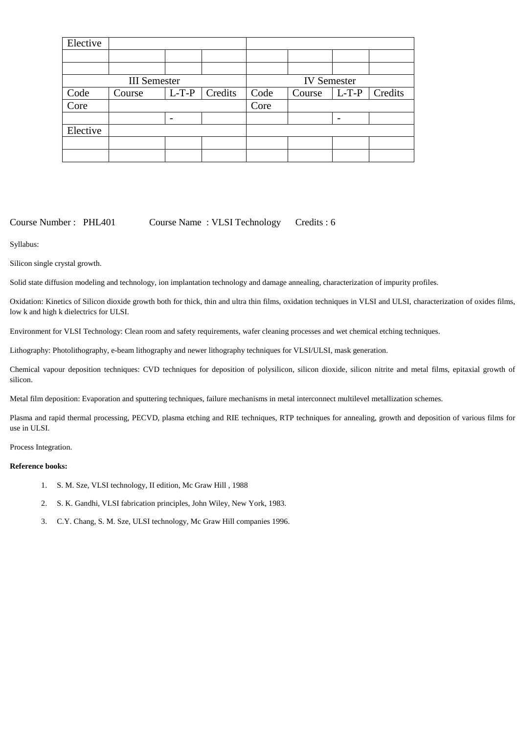| Elective |                     |                    |         |      |        |         |         |
|----------|---------------------|--------------------|---------|------|--------|---------|---------|
|          |                     |                    |         |      |        |         |         |
|          |                     |                    |         |      |        |         |         |
|          | <b>III</b> Semester | <b>IV</b> Semester |         |      |        |         |         |
| Code     | Course              | $L-T-P$            | Credits | Code | Course | $L-T-P$ | Credits |
| Core     |                     |                    |         | Core |        |         |         |
|          |                     |                    |         |      |        |         |         |
| Elective |                     |                    |         |      |        |         |         |
|          |                     |                    |         |      |        |         |         |
|          |                     |                    |         |      |        |         |         |

Course Number : PHL401 Course Name : VLSI Technology Credits : 6

Syllabus:

Silicon single crystal growth.

Solid state diffusion modeling and technology, ion implantation technology and damage annealing, characterization of impurity profiles.

Oxidation: Kinetics of Silicon dioxide growth both for thick, thin and ultra thin films, oxidation techniques in VLSI and ULSI, characterization of oxides films, low k and high k dielectrics for ULSI.

Environment for VLSI Technology: Clean room and safety requirements, wafer cleaning processes and wet chemical etching techniques.

Lithography: Photolithography, e-beam lithography and newer lithography techniques for VLSI/ULSI, mask generation.

Chemical vapour deposition techniques: CVD techniques for deposition of polysilicon, silicon dioxide, silicon nitrite and metal films, epitaxial growth of silicon.

Metal film deposition: Evaporation and sputtering techniques, failure mechanisms in metal interconnect multilevel metallization schemes.

Plasma and rapid thermal processing, PECVD, plasma etching and RIE techniques, RTP techniques for annealing, growth and deposition of various films for use in ULSI.

Process Integration.

## **Reference books:**

- 1. S. M. Sze, VLSI technology, II edition, Mc Graw Hill , 1988
- 2. S. K. Gandhi, VLSI fabrication principles, John Wiley, New York, 1983.
- 3. C.Y. Chang, S. M. Sze, ULSI technology, Mc Graw Hill companies 1996.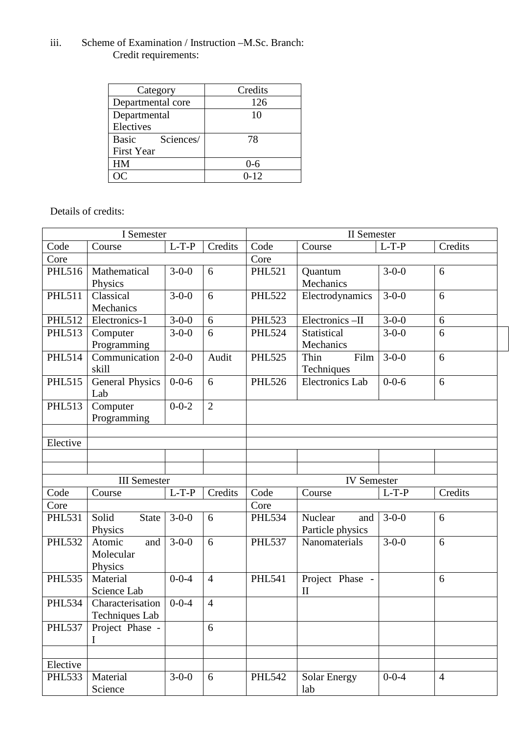# iii. Scheme of Examination / Instruction –M.Sc. Branch: Credit requirements:

| Category           | Credits  |
|--------------------|----------|
| Departmental core  | 126      |
| Departmental       | 10       |
| Electives          |          |
| Basic<br>Sciences/ | 78       |
| <b>First Year</b>  |          |
| <b>HM</b>          | $0 - 6$  |
|                    | $0 - 12$ |

Details of credits:

| I Semester          |                       |             |                | <b>II</b> Semester |                        |             |                |
|---------------------|-----------------------|-------------|----------------|--------------------|------------------------|-------------|----------------|
| Code                | Course                | $L-T-P$     | Credits        | Code               | Course                 | $L-T-P$     | Credits        |
| Core                |                       |             |                | Core               |                        |             |                |
| <b>PHL516</b>       | Mathematical          | $3 - 0 - 0$ | 6              | <b>PHL521</b>      | Quantum                | $3 - 0 - 0$ | 6              |
|                     | Physics               |             |                |                    | Mechanics              |             |                |
| <b>PHL511</b>       | Classical             | $3-0-0$     | 6              | <b>PHL522</b>      | Electrodynamics        | $3 - 0 - 0$ | 6              |
|                     | Mechanics             |             |                |                    |                        |             |                |
| <b>PHL512</b>       | Electronics-1         | $3-0-0$     | 6              | <b>PHL523</b>      | Electronics-II         | $3 - 0 - 0$ | 6              |
| <b>PHL513</b>       | Computer              | $3 - 0 - 0$ | 6              | <b>PHL524</b>      | Statistical            | $3 - 0 - 0$ | 6              |
|                     | Programming           |             |                |                    | Mechanics              |             |                |
| <b>PHL514</b>       | Communication         | $2 - 0 - 0$ | Audit          | <b>PHL525</b>      | Thin<br>Film           | $3 - 0 - 0$ | 6              |
|                     | skill                 |             |                |                    | Techniques             |             |                |
| <b>PHL515</b>       | General Physics       | $0 - 0 - 6$ | 6              | <b>PHL526</b>      | <b>Electronics Lab</b> | $0 - 0 - 6$ | 6              |
|                     | Lab                   |             |                |                    |                        |             |                |
| <b>PHL513</b>       | Computer              | $0 - 0 - 2$ | $\overline{2}$ |                    |                        |             |                |
|                     | Programming           |             |                |                    |                        |             |                |
|                     |                       |             |                |                    |                        |             |                |
| Elective            |                       |             |                |                    |                        |             |                |
|                     |                       |             |                |                    |                        |             |                |
|                     |                       |             |                |                    |                        |             |                |
| <b>III</b> Semester |                       |             |                | <b>IV</b> Semester |                        |             |                |
| Code                | Course                | $L-T-P$     | Credits        | Code               | Course                 | $L-T-P$     | Credits        |
| Core                |                       |             |                | Core               |                        |             |                |
| <b>PHL531</b>       | Solid<br><b>State</b> | $3 - 0 - 0$ | 6              | <b>PHL534</b>      | Nuclear<br>and         | $3 - 0 - 0$ | 6              |
|                     | Physics               |             |                |                    | Particle physics       |             |                |
| <b>PHL532</b>       | Atomic<br>and         | $3 - 0 - 0$ | 6              | <b>PHL537</b>      | Nanomaterials          | $3 - 0 - 0$ | 6              |
|                     | Molecular             |             |                |                    |                        |             |                |
|                     | Physics               |             |                |                    |                        |             |                |
| <b>PHL535</b>       | Material              | $0 - 0 - 4$ | $\overline{4}$ | <b>PHL541</b>      | Project Phase -        |             | 6              |
|                     | Science Lab           |             |                |                    | $\mathbf{I}$           |             |                |
| <b>PHL534</b>       |                       |             |                |                    |                        |             |                |
|                     | Characterisation      | $0 - 0 - 4$ | $\overline{4}$ |                    |                        |             |                |
|                     | Techniques Lab        |             |                |                    |                        |             |                |
| <b>PHL537</b>       | Project Phase -       |             | 6              |                    |                        |             |                |
|                     | I                     |             |                |                    |                        |             |                |
|                     |                       |             |                |                    |                        |             |                |
| Elective            |                       |             |                |                    |                        |             |                |
| <b>PHL533</b>       | Material              | $3-0-0$     | 6              | <b>PHL542</b>      | <b>Solar Energy</b>    | $0 - 0 - 4$ | $\overline{4}$ |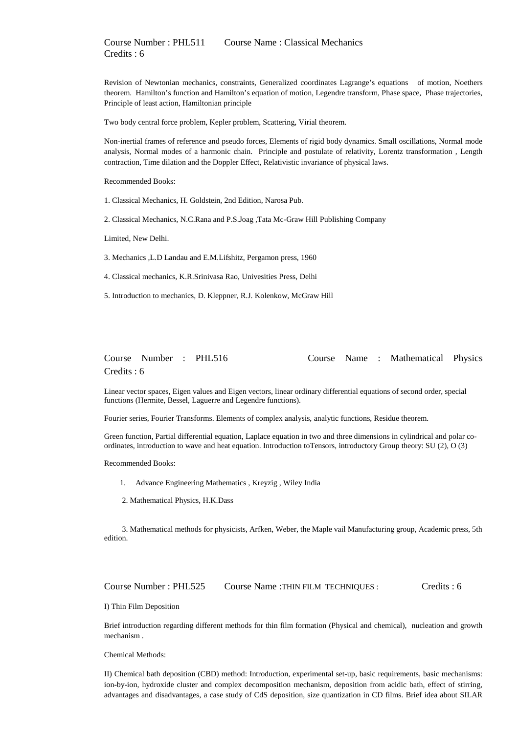Revision of Newtonian mechanics, constraints, Generalized coordinates Lagrange's equations of motion, Noethers theorem. Hamilton's function and Hamilton's equation of motion, Legendre transform, Phase space, Phase trajectories, Principle of least action, Hamiltonian principle

Two body central force problem, Kepler problem, Scattering, Virial theorem.

Non-inertial frames of reference and pseudo forces, Elements of rigid body dynamics. Small oscillations, Normal mode analysis, Normal modes of a harmonic chain. Principle and postulate of relativity, Lorentz transformation , Length contraction, Time dilation and the Doppler Effect, Relativistic invariance of physical laws.

Recommended Books:

1. Classical Mechanics, H. Goldstein, 2nd Edition, Narosa Pub.

2. Classical Mechanics, N.C.Rana and P.S.Joag ,Tata Mc-Graw Hill Publishing Company

Limited, New Delhi.

3. Mechanics ,L.D Landau and E.M.Lifshitz, Pergamon press, 1960

4. Classical mechanics, K.R.Srinivasa Rao, Univesities Press, Delhi

5. Introduction to mechanics, D. Kleppner, R.J. Kolenkow, McGraw Hill

## Course Number : PHL516 Course Name : Mathematical Physics Credits : 6

Linear vector spaces, Eigen values and Eigen vectors, linear ordinary differential equations of second order, special functions (Hermite, Bessel, Laguerre and Legendre functions).

Fourier series, Fourier Transforms. Elements of complex analysis, analytic functions, Residue theorem.

Green function, Partial differential equation, Laplace equation in two and three dimensions in cylindrical and polar coordinates, introduction to wave and heat equation. Introduction toTensors, introductory Group theory: SU (2), O (3)

Recommended Books:

- 1. Advance Engineering Mathematics , Kreyzig , Wiley India
- 2. Mathematical Physics, H.K.Dass

3. Mathematical methods for physicists, Arfken, Weber, the Maple vail Manufacturing group, Academic press, 5th edition.

Course Number : PHL525 Course Name :THIN FILM TECHNIQUES : Credits : 6

I) Thin Film Deposition

Brief introduction regarding different methods for thin film formation (Physical and chemical), nucleation and growth mechanism .

Chemical Methods:

II) Chemical bath deposition (CBD) method: Introduction, experimental set-up, basic requirements, basic mechanisms: ion-by-ion, hydroxide cluster and complex decomposition mechanism, deposition from acidic bath, effect of stirring, advantages and disadvantages, a case study of CdS deposition, size quantization in CD films. Brief idea about SILAR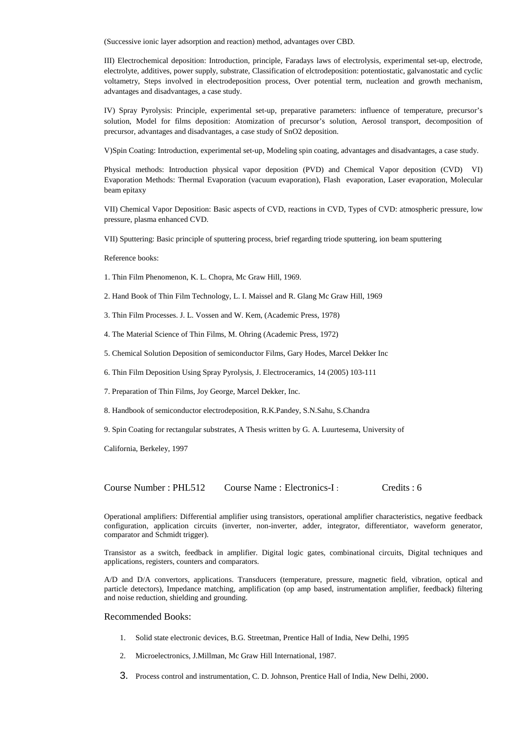(Successive ionic layer adsorption and reaction) method, advantages over CBD.

III) Electrochemical deposition: Introduction, principle, Faradays laws of electrolysis, experimental set-up, electrode, electrolyte, additives, power supply, substrate, Classification of elctrodeposition: potentiostatic, galvanostatic and cyclic voltametry, Steps involved in electrodeposition process, Over potential term, nucleation and growth mechanism, advantages and disadvantages, a case study.

IV) Spray Pyrolysis: Principle, experimental set-up, preparative parameters: influence of temperature, precursor's solution, Model for films deposition: Atomization of precursor's solution, Aerosol transport, decomposition of precursor, advantages and disadvantages, a case study of SnO2 deposition.

V)Spin Coating: Introduction, experimental set-up, Modeling spin coating, advantages and disadvantages, a case study.

Physical methods: Introduction physical vapor deposition (PVD) and Chemical Vapor deposition (CVD) VI) Evaporation Methods: Thermal Evaporation (vacuum evaporation), Flash evaporation, Laser evaporation, Molecular beam epitaxy

VII) Chemical Vapor Deposition: Basic aspects of CVD, reactions in CVD, Types of CVD: atmospheric pressure, low pressure, plasma enhanced CVD.

VII) Sputtering: Basic principle of sputtering process, brief regarding triode sputtering, ion beam sputtering

Reference books:

- 1. Thin Film Phenomenon, K. L. Chopra, Mc Graw Hill, 1969.
- 2. Hand Book of Thin Film Technology, L. I. Maissel and R. Glang Mc Graw Hill, 1969
- 3. Thin Film Processes. J. L. Vossen and W. Kem, (Academic Press, 1978)
- 4. The Material Science of Thin Films, M. Ohring (Academic Press, 1972)
- 5. Chemical Solution Deposition of semiconductor Films, Gary Hodes, Marcel Dekker Inc
- 6. Thin Film Deposition Using Spray Pyrolysis, J. Electroceramics, 14 (2005) 103-111
- 7. Preparation of Thin Films, Joy George, Marcel Dekker, Inc.
- 8. Handbook of semiconductor electrodeposition, R.K.Pandey, S.N.Sahu, S.Chandra

9. Spin Coating for rectangular substrates, A Thesis written by G. A. Luurtesema, University of

California, Berkeley, 1997

Course Number : PHL512 Course Name : Electronics-I : Credits : 6

Operational amplifiers: Differential amplifier using transistors, operational amplifier characteristics, negative feedback configuration, application circuits (inverter, non-inverter, adder, integrator, differentiator, waveform generator, comparator and Schmidt trigger).

Transistor as a switch, feedback in amplifier. Digital logic gates, combinational circuits, Digital techniques and applications, registers, counters and comparators.

A/D and D/A convertors, applications. Transducers (temperature, pressure, magnetic field, vibration, optical and particle detectors), Impedance matching, amplification (op amp based, instrumentation amplifier, feedback) filtering and noise reduction, shielding and grounding.

## Recommended Books:

- 1. Solid state electronic devices, B.G. Streetman, Prentice Hall of India, New Delhi, 1995
- 2. Microelectronics, J.Millman, Mc Graw Hill International, 1987.
- 3. Process control and instrumentation, C. D. Johnson, Prentice Hall of India, New Delhi, 2000.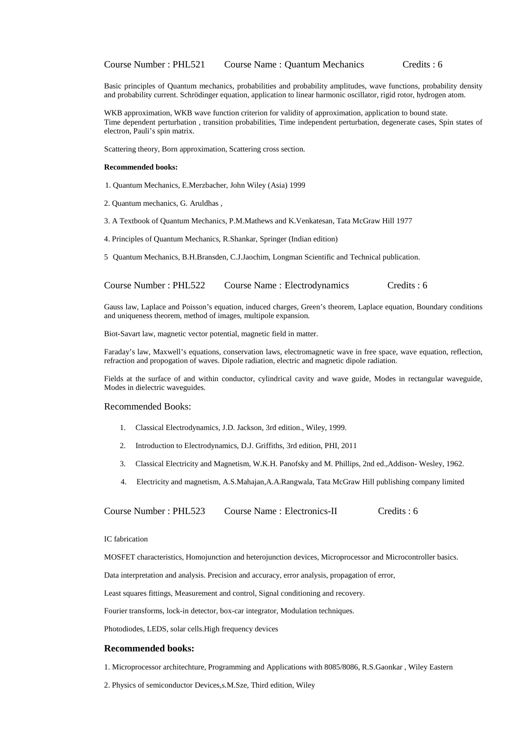Basic principles of Quantum mechanics, probabilities and probability amplitudes, wave functions, probability density and probability current. Schrödinger equation, application to linear harmonic oscillator, rigid rotor, hydrogen atom.

WKB approximation, WKB wave function criterion for validity of approximation, application to bound state. Time dependent perturbation , transition probabilities, Time independent perturbation, degenerate cases, Spin states of electron, Pauli's spin matrix.

Scattering theory, Born approximation, Scattering cross section.

## **Recommended books:**

- 1. Quantum Mechanics, E.Merzbacher, John Wiley (Asia) 1999
- 2. Quantum mechanics, G. Aruldhas ,
- 3. A Textbook of Quantum Mechanics, P.M.Mathews and K.Venkatesan, Tata McGraw Hill 1977
- 4. Principles of Quantum Mechanics, R.Shankar, Springer (Indian edition)
- 5 Quantum Mechanics, B.H.Bransden, C.J.Jaochim, Longman Scientific and Technical publication.

| Course Number: PHL522 | Course Name: Electrodynamics | C <sub>redits</sub> : 6 |
|-----------------------|------------------------------|-------------------------|
|-----------------------|------------------------------|-------------------------|

Gauss law, Laplace and Poisson's equation, induced charges, Green's theorem, Laplace equation, Boundary conditions and uniqueness theorem, method of images, multipole expansion.

Biot-Savart law, magnetic vector potential, magnetic field in matter.

Faraday's law, Maxwell's equations, conservation laws, electromagnetic wave in free space, wave equation, reflection, refraction and propogation of waves. Dipole radiation, electric and magnetic dipole radiation.

Fields at the surface of and within conductor, cylindrical cavity and wave guide, Modes in rectangular waveguide, Modes in dielectric waveguides.

## Recommended Books:

- 1. Classical Electrodynamics, J.D. Jackson, 3rd edition., Wiley, 1999.
- 2. Introduction to Electrodynamics, D.J. Griffiths, 3rd edition, PHI, 2011
- 3. Classical Electricity and Magnetism, W.K.H. Panofsky and M. Phillips, 2nd ed.,Addison- Wesley, 1962.
- 4. Electricity and magnetism, A.S.Mahajan,A.A.Rangwala, Tata McGraw Hill publishing company limited

Course Number : PHL523 Course Name : Electronics-II Credits : 6

#### IC fabrication

MOSFET characteristics, Homojunction and heterojunction devices, Microprocessor and Microcontroller basics.

Data interpretation and analysis. Precision and accuracy, error analysis, propagation of error,

Least squares fittings, Measurement and control, Signal conditioning and recovery.

Fourier transforms, lock-in detector, box-car integrator, Modulation techniques.

Photodiodes, LEDS, solar cells.High frequency devices

## **Recommended books:**

1. Microprocessor architechture, Programming and Applications with 8085/8086, R.S.Gaonkar , Wiley Eastern

2. Physics of semiconductor Devices,s.M.Sze, Third edition, Wiley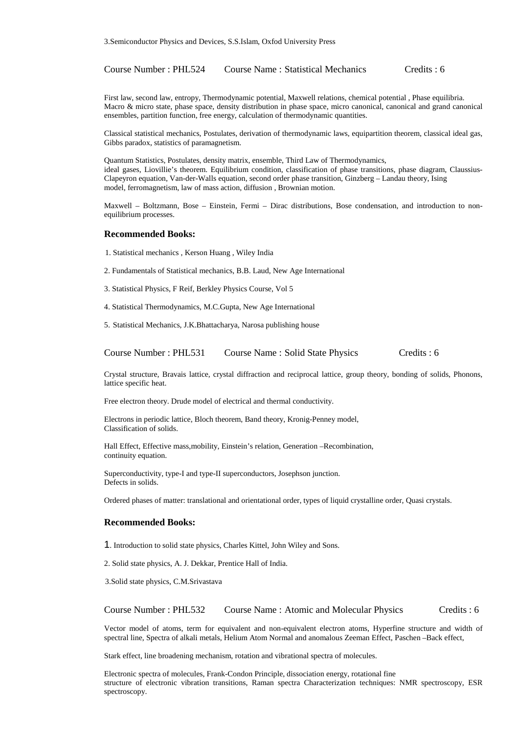Course Number : PHL524 Course Name : Statistical Mechanics Credits : 6

First law, second law, entropy, Thermodynamic potential, Maxwell relations, chemical potential , Phase equilibria. Macro & micro state, phase space, density distribution in phase space, micro canonical, canonical and grand canonical ensembles, partition function, free energy, calculation of thermodynamic quantities.

Classical statistical mechanics, Postulates, derivation of thermodynamic laws, equipartition theorem, classical ideal gas, Gibbs paradox, statistics of paramagnetism.

Quantum Statistics, Postulates, density matrix, ensemble, Third Law of Thermodynamics, ideal gases, Liovillie's theorem. Equilibrium condition, classification of phase transitions, phase diagram, Claussius-Clapeyron equation, Van-der-Walls equation, second order phase transition, Ginzberg – Landau theory, Ising model, ferromagnetism, law of mass action, diffusion , Brownian motion.

Maxwell – Boltzmann, Bose – Einstein, Fermi – Dirac distributions, Bose condensation, and introduction to nonequilibrium processes.

#### **Recommended Books:**

- 1. Statistical mechanics , Kerson Huang , Wiley India
- 2. Fundamentals of Statistical mechanics, B.B. Laud, New Age International
- 3. Statistical Physics, F Reif, Berkley Physics Course, Vol 5
- 4. Statistical Thermodynamics, M.C.Gupta, New Age International
- 5. Statistical Mechanics, J.K.Bhattacharya, Narosa publishing house

Course Number : PHL531 Course Name : Solid State Physics Credits : 6

Crystal structure, Bravais lattice, crystal diffraction and reciprocal lattice, group theory, bonding of solids, Phonons, lattice specific heat.

Free electron theory. Drude model of electrical and thermal conductivity.

Electrons in periodic lattice, Bloch theorem, Band theory, Kronig-Penney model, Classification of solids.

Hall Effect, Effective mass,mobility, Einstein's relation, Generation –Recombination, continuity equation.

Superconductivity, type-I and type-II superconductors, Josephson junction. Defects in solids.

Ordered phases of matter: translational and orientational order, types of liquid crystalline order, Quasi crystals.

## **Recommended Books:**

- 1. Introduction to solid state physics, Charles Kittel, John Wiley and Sons.
- 2. Solid state physics, A. J. Dekkar, Prentice Hall of India.

3.Solid state physics, C.M.Srivastava

Course Number : PHL532 Course Name : Atomic and Molecular Physics Credits : 6

Vector model of atoms, term for equivalent and non-equivalent electron atoms, Hyperfine structure and width of spectral line, Spectra of alkali metals, Helium Atom Normal and anomalous Zeeman Effect, Paschen –Back effect,

Stark effect, line broadening mechanism, rotation and vibrational spectra of molecules.

Electronic spectra of molecules, Frank-Condon Principle, dissociation energy, rotational fine structure of electronic vibration transitions, Raman spectra Characterization techniques: NMR spectroscopy, ESR spectroscopy.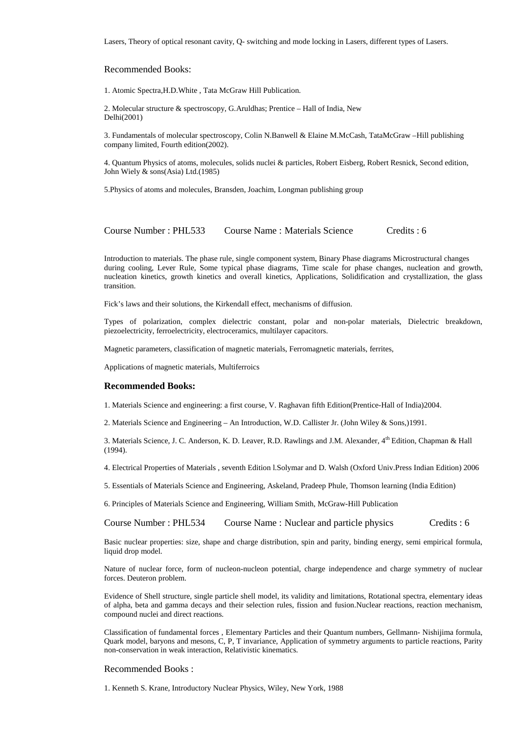Lasers, Theory of optical resonant cavity, Q- switching and mode locking in Lasers, different types of Lasers.

## Recommended Books:

1. Atomic Spectra,H.D.White , Tata McGraw Hill Publication.

2. Molecular structure & spectroscopy, G.Aruldhas; Prentice – Hall of India, New Delhi(2001)

3. Fundamentals of molecular spectroscopy, Colin N.Banwell & Elaine M.McCash, TataMcGraw –Hill publishing company limited, Fourth edition(2002).

4. Quantum Physics of atoms, molecules, solids nuclei & particles, Robert Eisberg, Robert Resnick, Second edition, John Wiely & sons(Asia) Ltd.(1985)

5.Physics of atoms and molecules, Bransden, Joachim, Longman publishing group

Course Number : PHL533 Course Name : Materials Science Credits : 6

Introduction to materials. The phase rule, single component system, Binary Phase diagrams Microstructural changes during cooling, Lever Rule, Some typical phase diagrams, Time scale for phase changes, nucleation and growth, nucleation kinetics, growth kinetics and overall kinetics, Applications, Solidification and crystallization, the glass transition.

Fick's laws and their solutions, the Kirkendall effect, mechanisms of diffusion.

Types of polarization, complex dielectric constant, polar and non-polar materials, Dielectric breakdown, piezoelectricity, ferroelectricity, electroceramics, multilayer capacitors.

Magnetic parameters, classification of magnetic materials, Ferromagnetic materials, ferrites,

Applications of magnetic materials, Multiferroics

## **Recommended Books:**

1. Materials Science and engineering: a first course, V. Raghavan fifth Edition(Prentice-Hall of India)2004.

2. Materials Science and Engineering – An Introduction, W.D. Callister Jr. (John Wiley & Sons,)1991.

3. Materials Science, J. C. Anderson, K. D. Leaver, R.D. Rawlings and J.M. Alexander, 4th Edition, Chapman & Hall (1994).

4. Electrical Properties of Materials , seventh Edition l.Solymar and D. Walsh (Oxford Univ.Press Indian Edition) 2006

5. Essentials of Materials Science and Engineering, Askeland, Pradeep Phule, Thomson learning (India Edition)

6. Principles of Materials Science and Engineering, William Smith, McGraw-Hill Publication

Course Number : PHL534 Course Name : Nuclear and particle physics Credits : 6

Basic nuclear properties: size, shape and charge distribution, spin and parity, binding energy, semi empirical formula, liquid drop model.

Nature of nuclear force, form of nucleon-nucleon potential, charge independence and charge symmetry of nuclear forces. Deuteron problem.

Evidence of Shell structure, single particle shell model, its validity and limitations, Rotational spectra, elementary ideas of alpha, beta and gamma decays and their selection rules, fission and fusion.Nuclear reactions, reaction mechanism, compound nuclei and direct reactions.

Classification of fundamental forces , Elementary Particles and their Quantum numbers, Gellmann- Nishijima formula, Quark model, baryons and mesons, C, P, T invariance, Application of symmetry arguments to particle reactions, Parity non-conservation in weak interaction, Relativistic kinematics.

## Recommended Books :

1. Kenneth S. Krane, Introductory Nuclear Physics, Wiley, New York, 1988